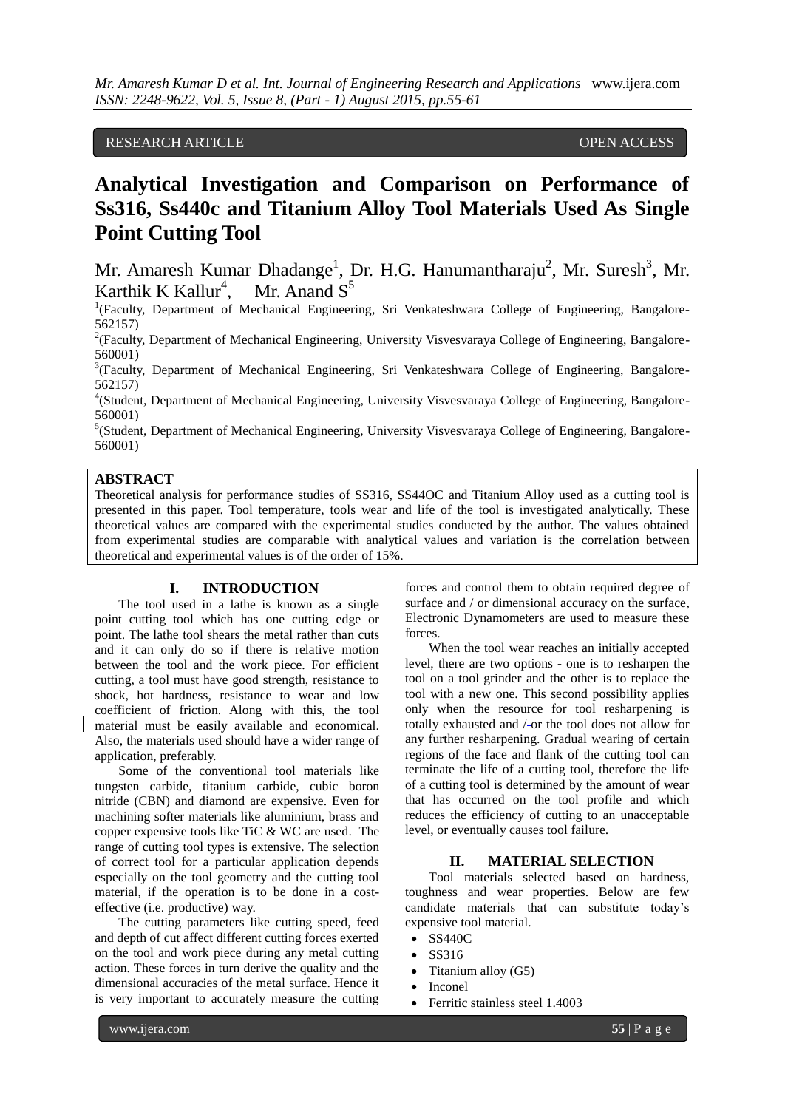# RESEARCH ARTICLE OPEN ACCESS

# **Analytical Investigation and Comparison on Performance of Ss316, Ss440c and Titanium Alloy Tool Materials Used As Single Point Cutting Tool**

Mr. Amaresh Kumar Dhadange<sup>1</sup>, Dr. H.G. Hanumantharaju<sup>2</sup>, Mr. Suresh<sup>3</sup>, Mr. Karthik K Kallur<sup>4</sup>, Mr. Anand  $S^5$ 

<sup>1</sup>(Faculty, Department of Mechanical Engineering, Sri Venkateshwara College of Engineering, Bangalore-562157)

<sup>2</sup>(Faculty, Department of Mechanical Engineering, University Visvesvaraya College of Engineering, Bangalore-560001)

<sup>3</sup>(Faculty, Department of Mechanical Engineering, Sri Venkateshwara College of Engineering, Bangalore-562157)

<sup>4</sup>(Student, Department of Mechanical Engineering, University Visvesvaraya College of Engineering, Bangalore-560001)

<sup>5</sup>(Student, Department of Mechanical Engineering, University Visvesvaraya College of Engineering, Bangalore-560001)

### **ABSTRACT**

Theoretical analysis for performance studies of SS316, SS44OC and Titanium Alloy used as a cutting tool is presented in this paper. Tool temperature, tools wear and life of the tool is investigated analytically. These theoretical values are compared with the experimental studies conducted by the author. The values obtained from experimental studies are comparable with analytical values and variation is the correlation between theoretical and experimental values is of the order of 15%.

#### **I. INTRODUCTION**

The tool used in a lathe is known as a single point cutting tool which has one cutting edge or point. The lathe tool shears the metal rather than cuts and it can only do so if there is relative motion between the tool and the work piece. For efficient cutting, a tool must have good strength, resistance to shock, hot hardness, resistance to wear and low coefficient of friction. Along with this, the tool material must be easily available and economical. Also, the materials used should have a wider range of application, preferably.

Some of the conventional tool materials like tungsten carbide, titanium carbide, cubic boron nitride (CBN) and diamond are expensive. Even for machining softer materials like aluminium, brass and copper expensive tools like TiC & WC are used. The range of cutting tool types is extensive. The selection of correct tool for a particular application depends especially on the tool geometry and the cutting tool material, if the operation is to be done in a costeffective (i.e. productive) way.

The cutting parameters like cutting speed, feed and depth of cut affect different cutting forces exerted on the tool and work piece during any metal cutting action. These forces in turn derive the quality and the dimensional accuracies of the metal surface. Hence it is very important to accurately measure the cutting

forces and control them to obtain required degree of surface and / or dimensional accuracy on the surface, Electronic Dynamometers are used to measure these forces.

When the tool wear reaches an initially accepted level, there are two options - one is to resharpen the tool on a tool grinder and the other is to replace the tool with a new one. This second possibility applies only when the resource for tool resharpening is totally exhausted and /-or the tool does not allow for any further resharpening. Gradual wearing of certain regions of the face and flank of the cutting tool can terminate the life of a cutting tool, therefore the life of a cutting tool is determined by the amount of wear that has occurred on the tool profile and which reduces the efficiency of cutting to an unacceptable level, or eventually causes tool failure.

#### **II. MATERIAL SELECTION**

Tool materials selected based on hardness, toughness and wear properties. Below are few candidate materials that can substitute today's expensive tool material.

- SS440C
- SS316
- Titanium alloy  $(G5)$
- Inconel
- Ferritic stainless steel 1.4003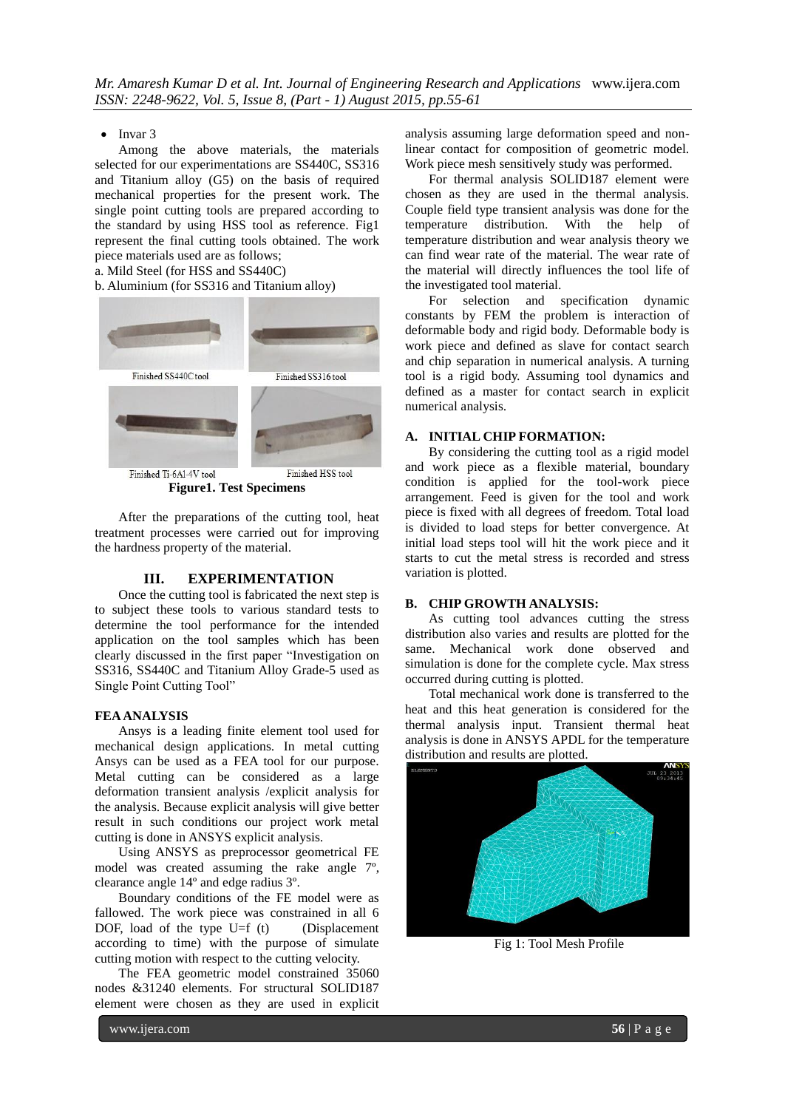$\bullet$  Invar 3

Among the above materials, the materials selected for our experimentations are SS440C, SS316 and Titanium alloy (G5) on the basis of required mechanical properties for the present work. The single point cutting tools are prepared according to the standard by using HSS tool as reference. Fig1 represent the final cutting tools obtained. The work piece materials used are as follows;

a. Mild Steel (for HSS and SS440C)

#### b. Aluminium (for SS316 and Titanium alloy)



**Figure1. Test Specimens**

After the preparations of the cutting tool, heat treatment processes were carried out for improving the hardness property of the material.

### **III. EXPERIMENTATION**

Once the cutting tool is fabricated the next step is to subject these tools to various standard tests to determine the tool performance for the intended application on the tool samples which has been clearly discussed in the first paper "Investigation on SS316, SS440C and Titanium Alloy Grade-5 used as Single Point Cutting Tool"

#### **FEA ANALYSIS**

Ansys is a leading finite element tool used for mechanical design applications. In metal cutting Ansys can be used as a FEA tool for our purpose. Metal cutting can be considered as a large deformation transient analysis /explicit analysis for the analysis. Because explicit analysis will give better result in such conditions our project work metal cutting is done in ANSYS explicit analysis.

Using ANSYS as preprocessor geometrical FE model was created assuming the rake angle 7º, clearance angle 14º and edge radius 3º.

Boundary conditions of the FE model were as fallowed. The work piece was constrained in all 6 DOF, load of the type  $U=f(t)$  (Displacement according to time) with the purpose of simulate cutting motion with respect to the cutting velocity.

The FEA geometric model constrained 35060 nodes &31240 elements. For structural SOLID187 element were chosen as they are used in explicit

analysis assuming large deformation speed and nonlinear contact for composition of geometric model. Work piece mesh sensitively study was performed.

For thermal analysis SOLID187 element were chosen as they are used in the thermal analysis. Couple field type transient analysis was done for the temperature distribution. With the help of temperature distribution and wear analysis theory we can find wear rate of the material. The wear rate of the material will directly influences the tool life of the investigated tool material.

For selection and specification dynamic constants by FEM the problem is interaction of deformable body and rigid body. Deformable body is work piece and defined as slave for contact search and chip separation in numerical analysis. A turning tool is a rigid body. Assuming tool dynamics and defined as a master for contact search in explicit numerical analysis.

#### **A. INITIAL CHIP FORMATION:**

By considering the cutting tool as a rigid model and work piece as a flexible material, boundary condition is applied for the tool-work piece arrangement. Feed is given for the tool and work piece is fixed with all degrees of freedom. Total load is divided to load steps for better convergence. At initial load steps tool will hit the work piece and it starts to cut the metal stress is recorded and stress variation is plotted.

#### **B. CHIP GROWTH ANALYSIS:**

As cutting tool advances cutting the stress distribution also varies and results are plotted for the same. Mechanical work done observed and simulation is done for the complete cycle. Max stress occurred during cutting is plotted.

Total mechanical work done is transferred to the heat and this heat generation is considered for the thermal analysis input. Transient thermal heat analysis is done in ANSYS APDL for the temperature distribution and results are plotted.



Fig 1: Tool Mesh Profile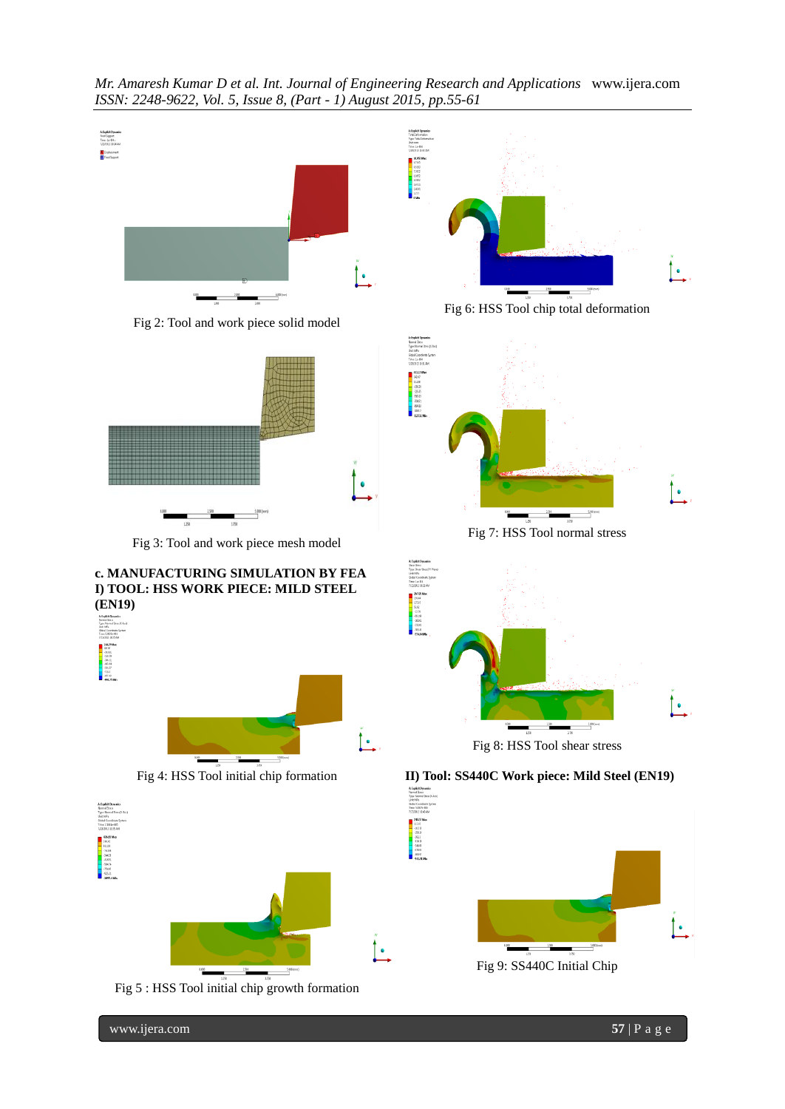

*Mr. Amaresh Kumar D et al. Int. Journal of Engineering Research and Applications* www.ijera.com

www.ijera.com **57** | P a g e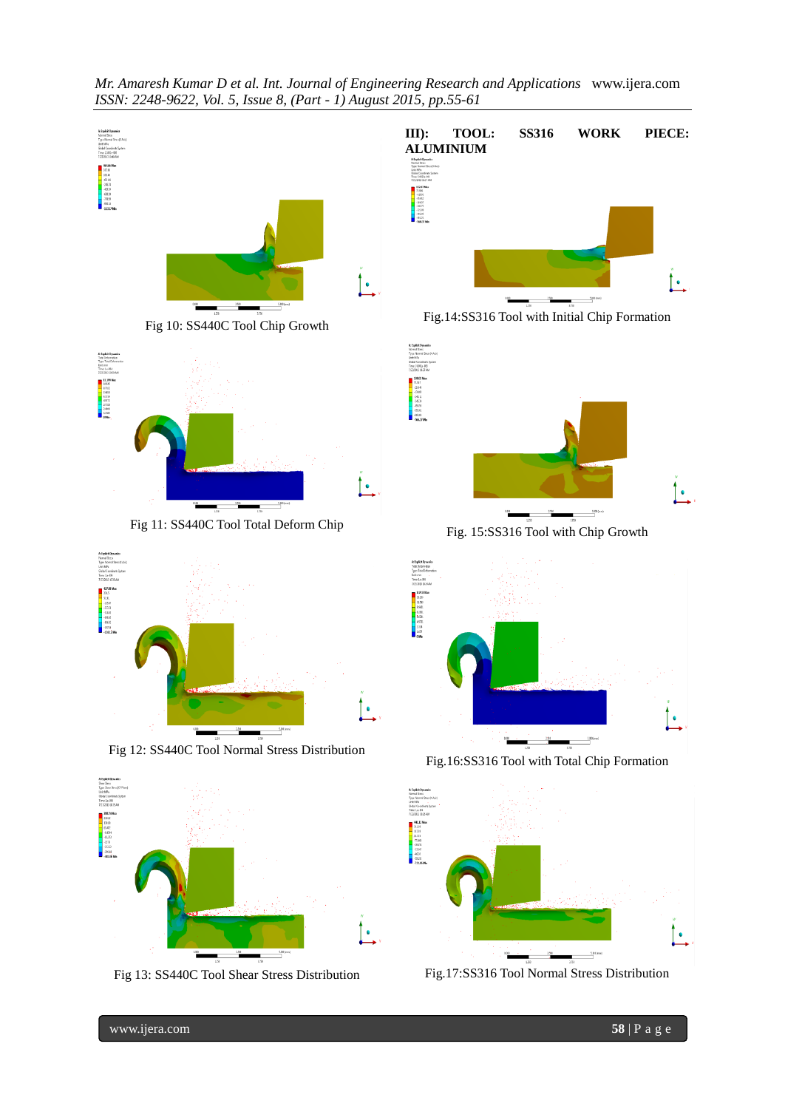



www.ijera.com **58** | P a g e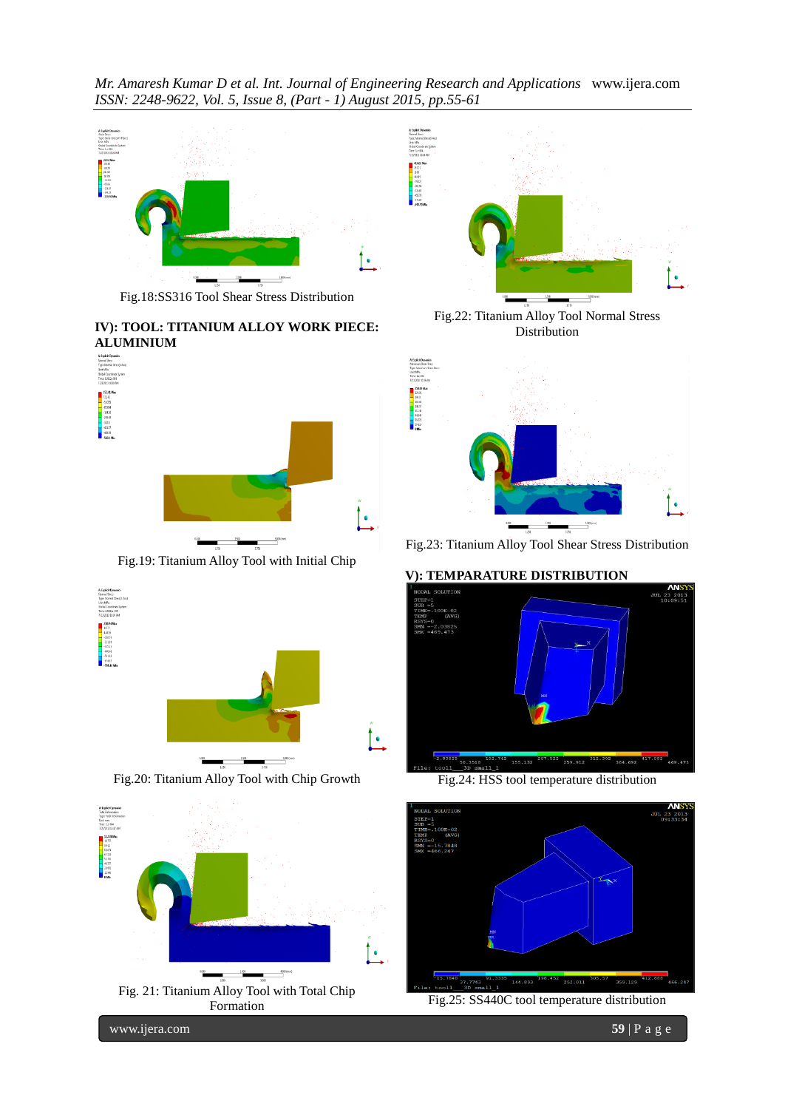*Mr. Amaresh Kumar D et al. Int. Journal of Engineering Research and Applications* www.ijera.com *ISSN: 2248-9622, Vol. 5, Issue 8, (Part - 1) August 2015, pp.55-61*



Fig.18:SS316 Tool Shear Stress Distribution

**IV): TOOL: TITANIUM ALLOY WORK PIECE: ALUMINIUM**



Fig.19: Titanium Alloy Tool with Initial Chip



Fig.20: Titanium Alloy Tool with Chip Growth





Fig.22: Titanium Alloy Tool Normal Stress Distribution



Fig.23: Titanium Alloy Tool Shear Stress Distribution

# **V): TEMPARATURE DISTRIBUTION**



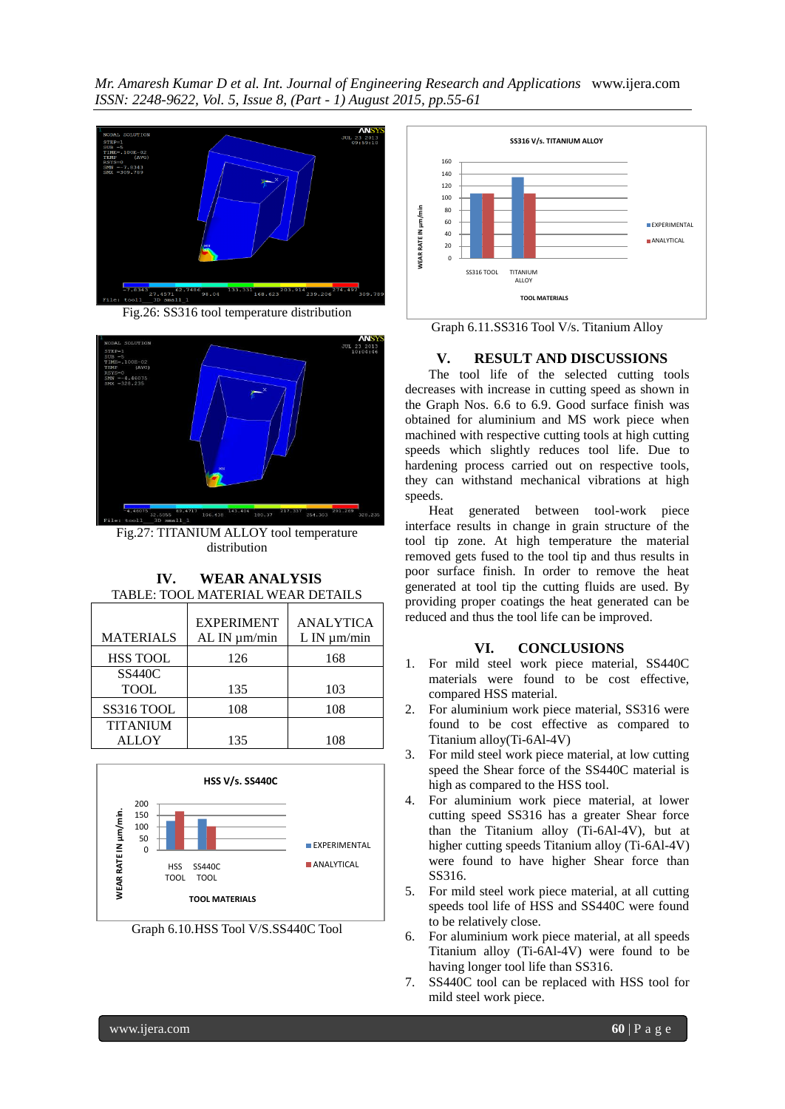*Mr. Amaresh Kumar D et al. Int. Journal of Engineering Research and Applications* www.ijera.com *ISSN: 2248-9622, Vol. 5, Issue 8, (Part - 1) August 2015, pp.55-61*



Fig.26: SS316 tool temperature distribution



Fig.27: TITANIUM ALLOY tool temperature distribution

**IV. WEAR ANALYSIS** TABLE: TOOL MATERIAL WEAR DETAILS

| <b>MATERIALS</b> | <b>EXPERIMENT</b><br>AL IN $\mu$ m/min | <b>ANALYTICA</b><br>$L$ IN $\mu$ m/min |
|------------------|----------------------------------------|----------------------------------------|
| <b>HSS TOOL</b>  | 126                                    | 168                                    |
| <b>SS440C</b>    |                                        |                                        |
| <b>TOOL</b>      | 135                                    | 103                                    |
| SS316 TOOL       | 108                                    | 108                                    |
| <b>TITANIUM</b>  |                                        |                                        |
| <b>ALLOY</b>     | 135                                    | 108                                    |



Graph 6.10.HSS Tool V/S.SS440C Tool



Graph 6.11.SS316 Tool V/s. Titanium Alloy

# **V. RESULT AND DISCUSSIONS**

The tool life of the selected cutting tools decreases with increase in cutting speed as shown in the Graph Nos. 6.6 to 6.9. Good surface finish was obtained for aluminium and MS work piece when machined with respective cutting tools at high cutting speeds which slightly reduces tool life. Due to hardening process carried out on respective tools, they can withstand mechanical vibrations at high speeds.

Heat generated between tool-work piece interface results in change in grain structure of the tool tip zone. At high temperature the material removed gets fused to the tool tip and thus results in poor surface finish. In order to remove the heat generated at tool tip the cutting fluids are used. By providing proper coatings the heat generated can be reduced and thus the tool life can be improved.

# **VI. CONCLUSIONS**

- 1. For mild steel work piece material, SS440C materials were found to be cost effective, compared HSS material.
- 2. For aluminium work piece material, SS316 were found to be cost effective as compared to Titanium alloy(Ti-6Al-4V)
- 3. For mild steel work piece material, at low cutting speed the Shear force of the SS440C material is high as compared to the HSS tool.
- 4. For aluminium work piece material, at lower cutting speed SS316 has a greater Shear force than the Titanium alloy (Ti-6Al-4V), but at higher cutting speeds Titanium alloy (Ti-6Al-4V) were found to have higher Shear force than SS316.
- 5. For mild steel work piece material, at all cutting speeds tool life of HSS and SS440C were found to be relatively close.
- 6. For aluminium work piece material, at all speeds Titanium alloy (Ti-6Al-4V) were found to be having longer tool life than SS316.
- 7. SS440C tool can be replaced with HSS tool for mild steel work piece.